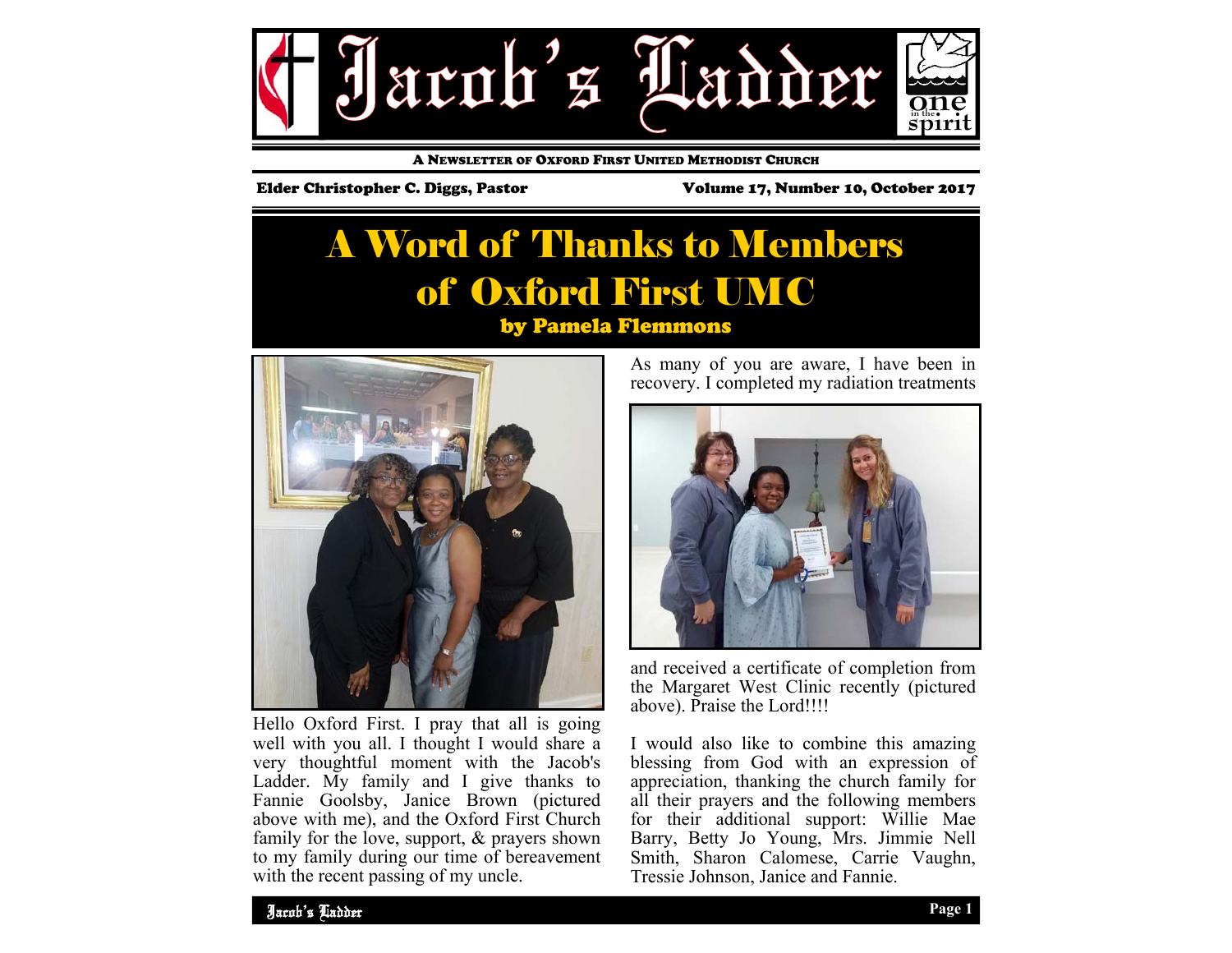

A NEWSLETTER OF OXFORD FIRST UNITED METHODIST CHURCH

Elder Christopher C. Diggs, Pastor Volume 17, Number 10, October 2017

### A Word of Thanks to Members of Oxford First UMC by Pamela Flemmons



Hello Oxford First. I pray that all is going well with you all. I thought I would share a very thoughtful moment with the Jacob's Ladder. My family and I give thanks to Fannie Goolsby, Janice Brown (pictured above with me), and the Oxford First Church family for the love, support, & prayers shown to my family during our time of bereavement with the recent passing of my uncle.

As many of you are aware, I have been in recovery. I completed my radiation treatments



and received a certificate of completion from the Margaret West Clinic recently (pictured above). Praise the Lord!!!!

I would also like to combine this amazing blessing from God with an expression of appreciation, thanking the church family for all their prayers and the following members for their additional support: Willie Mae Barry, Betty Jo Young, Mrs. Jimmie Nell Smith, Sharon Calomese, Carrie Vaughn, Tressie Johnson, Janice and Fannie.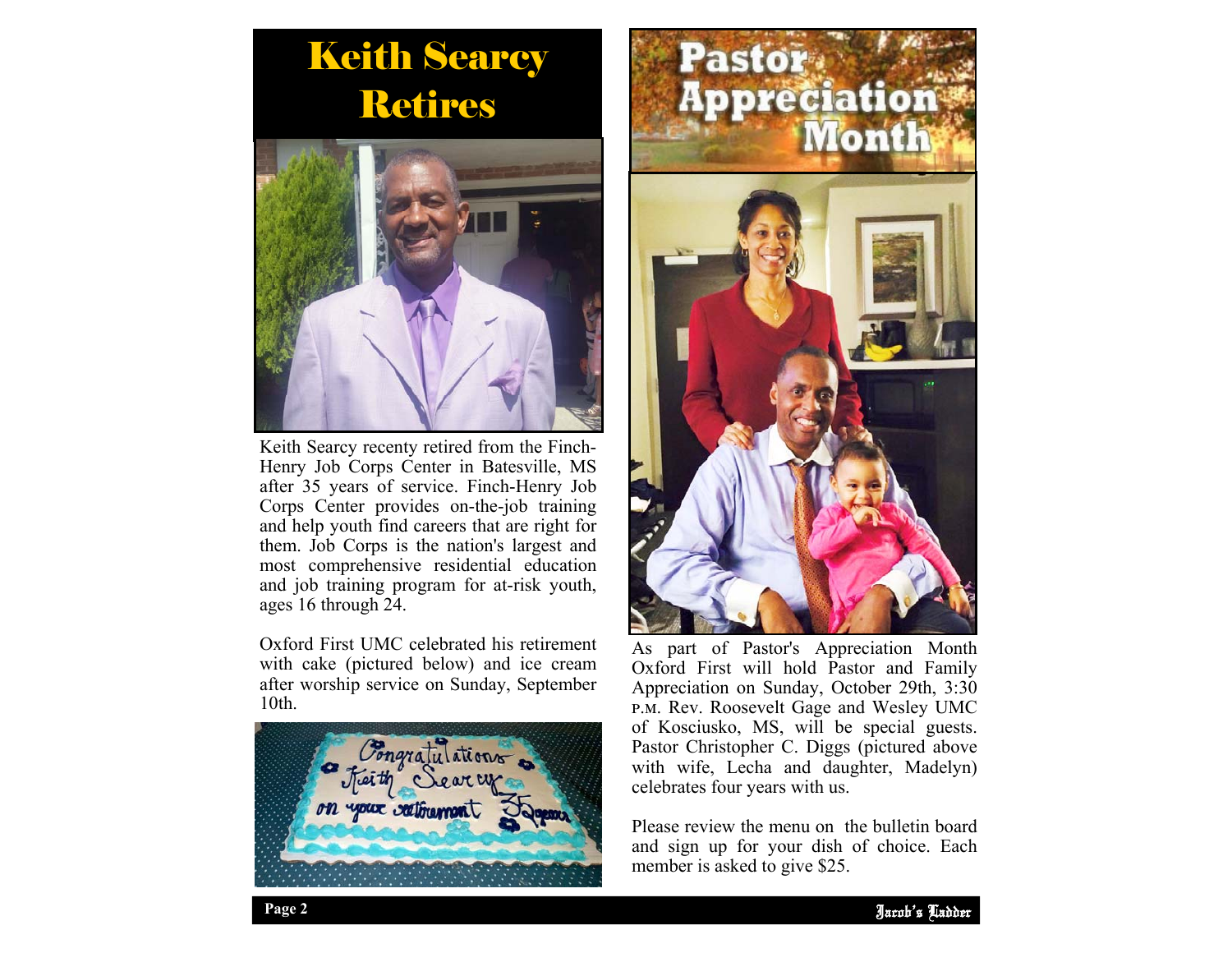# Keith Searcy Retires



Keith Searcy recenty retired from the Finch-Henry Job Corps Center in Batesville, MS after 35 years of service. Finch-Henry Job Corps Center provides on-the-job training and help youth find careers that are right for them. Job Corps is the nation's largest and most comprehensive residential education and job training program for at-risk youth, ages 16 through 24.

Oxford First UMC celebrated his retirement with cake (pictured below) and ice cream after worship service on Sunday, September 10th.





As part of Pastor's Appreciation Month Oxford First will hold Pastor and Family Appreciation on Sunday, October 29th, 3:30 P.M. Rev. Roosevelt Gage and Wesley UMC of Kosciusko, MS, will be special guests. Pastor Christopher C. Diggs (pictured above with wife, Lecha and daughter, Madelyn) celebrates four years with us.

Please review the menu on the bulletin board and sign up for your dish of choice. Each member is asked to give \$25.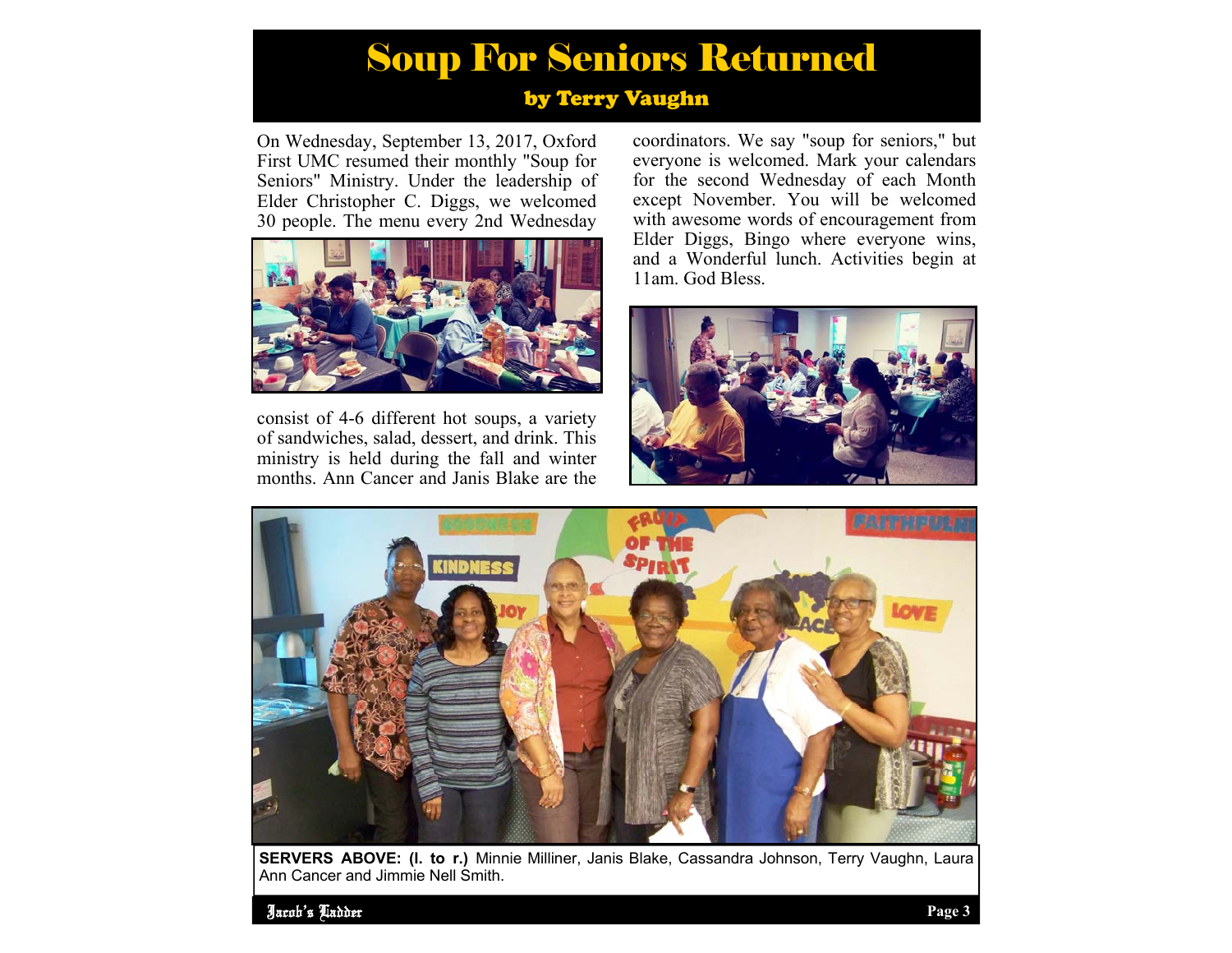## Soup For Seniors Returned

#### by Terry Vaughn

On Wednesday, September 13, 2017, Oxford First UMC resumed their monthly "Soup for Seniors" Ministry. Under the leadership of Elder Christopher C. Diggs, we welcomed 30 people. The menu every 2nd Wednesday



consist of 4-6 different hot soups, a variety of sandwiches, salad, dessert, and drink. This ministry is held during the fall and winter months. Ann Cancer and Janis Blake are the

coordinators. We say "soup for seniors," but everyone is welcomed. Mark your calendars for the second Wednesday of each Month except November. You will be welcomed with awesome words of encouragement from Elder Diggs, Bingo where everyone wins, and a Wonderful lunch. Activities begin at 11am. God Bless.





**SERVERS ABOVE: (l. to r.)** Minnie Milliner, Janis Blake, Cassandra Johnson, Terry Vaughn, Laura Ann Cancer and Jimmie Nell Smith.

Jacob's Ladder **Page 3**